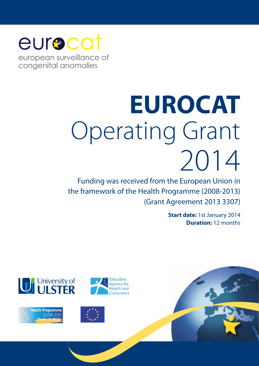## eurocat

european surveillance of congenital anomalies

# **EUROCAT**  Operating Grant 2014

Funding was received from the European Union in the framework of the Health Programme (2008-2013) (Grant Agreement 2013 3307)

> **Start date:** 1st January 2014 **Duration:** 12 months









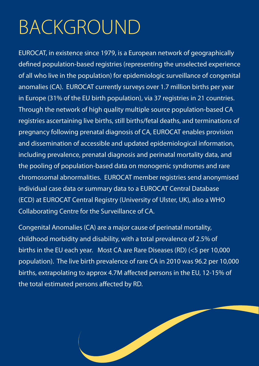## BACKGROUND

EUROCAT, in existence since 1979, is a European network of geographically defined population-based registries (representing the unselected experience of all who live in the population) for epidemiologic surveillance of congenital anomalies (CA). EUROCAT currently surveys over 1.7 million births per year in Europe (31% of the EU birth population), via 37 registries in 21 countries. Through the network of high quality multiple source population-based CA registries ascertaining live births, still births/fetal deaths, and terminations of pregnancy following prenatal diagnosis of CA, EUROCAT enables provision and dissemination of accessible and updated epidemiological information, including prevalence, prenatal diagnosis and perinatal mortality data, and the pooling of population-based data on monogenic syndromes and rare chromosomal abnormalities. EUROCAT member registries send anonymised individual case data or summary data to a EUROCAT Central Database (ECD) at EUROCAT Central Registry (University of Ulster, UK), also a WHO Collaborating Centre for the Surveillance of CA.

Congenital Anomalies (CA) are a major cause of perinatal mortality, childhood morbidity and disability, with a total prevalence of 2.5% of births in the EU each year. Most CA are Rare Diseases (RD) (<5 per 10,000 population). The live birth prevalence of rare CA in 2010 was 96.2 per 10,000 births, extrapolating to approx 4.7M affected persons in the EU, 12-15% of the total estimated persons affected by RD.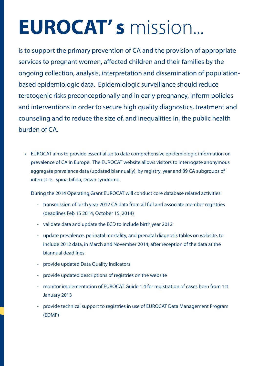## **EUROCAT' s** mission...

is to support the primary prevention of CA and the provision of appropriate services to pregnant women, affected children and their families by the ongoing collection, analysis, interpretation and dissemination of populationbased epidemiologic data. Epidemiologic surveillance should reduce teratogenic risks preconceptionally and in early pregnancy, inform policies and interventions in order to secure high quality diagnostics, treatment and counseling and to reduce the size of, and inequalities in, the public health burden of CA.

• EUROCAT aims to provide essential up to date comprehensive epidemiologic information on prevalence of CA in Europe. The EUROCAT website allows visitors to interrogate anonymous aggregate prevalence data (updated biannually), by registry, year and 89 CA subgroups of interest ie. Spina bifida, Down syndrome.

During the 2014 Operating Grant EUROCAT will conduct core database related activities:

- transmission of birth year 2012 CA data from all full and associate member registries (deadlines Feb 15 2014, October 15, 2014)
- validate data and update the ECD to include birth year 2012
- update prevalence, perinatal mortality, and prenatal diagnosis tables on website, to include 2012 data, in March and November 2014; after reception of the data at the biannual deadlines
- provide updated Data Quality Indicators
- provide updated descriptions of registries on the website
- monitor implementation of EUROCAT Guide 1.4 for registration of cases born from 1st January 2013
- provide technical support to registries in use of EUROCAT Data Management Program (EDMP)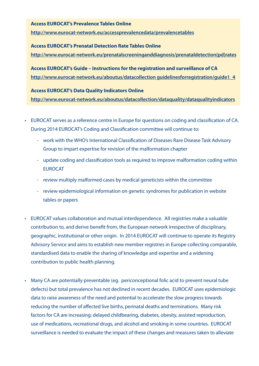#### **Access EUROCAT's Prevalence Tables Online**

**http://www.eurocat-network.eu/accessprevalencedata/prevalencetables**

#### **Access EUROCAT's Prenatal Detection Rate Tables Online**

**http://www.eurocat-network.eu/prenatalscreeninganddiagnosis/prenataldetection(pd)rates**

**Access EUROCAT's Guide – Instructions for the registration and surveillance of CA http://www.eurocat-network.eu/aboutus/datacollection guidelinesforregistration/guide1\_4**

#### **Access EUROCAT's Data Quality Indicators Online**

**http://www.eurocat-network.eu/aboutus/datacollection/dataquality/dataqualityindicators**

- EUROCAT serves as a reference centre in Europe for questions on coding and classification of CA. During 2014 EUROCAT's Coding and Classification committee will continue to:
	- work with the WHO's International Classification of Diseases Rare Disease Task Advisory Group to impart expertise for revision of the malformation chapter
	- update coding and classification tools as required to improve malformation coding within **FUROCAT**
	- review multiply malformed cases by medical geneticists within the committee
	- review epidemiological information on genetic syndromes for publication in website tables or papers
- EUROCAT values collaboration and mutual interdependence. All registries make a valuable contribution to, and derive benefit from, the European network irrespective of disciplinary, geographic, institutional or other origin. In 2014 EUROCAT will continue to operate its Registry Advisory Service and aims to establish new member registries in Europe collecting comparable, standardised data to enable the sharing of knowledge and expertise and a widening contribution to public health planning.
- Many CA are potentially preventable (eg. periconceptional folic acid to prevent neural tube defects) but total prevalence has not declined in recent decades. EUROCAT uses epidemiologic data to raise awareness of the need and potential to accelerate the slow progress towards reducing the number of affected live births, perinatal deaths and terminations. Many risk factors for CA are increasing: delayed childbearing, diabetes, obesity, assisted reproduction, use of medications, recreational drugs, and alcohol and smoking in some countries. EUROCAT surveillance is needed to evaluate the impact of these changes and measures taken to alleviate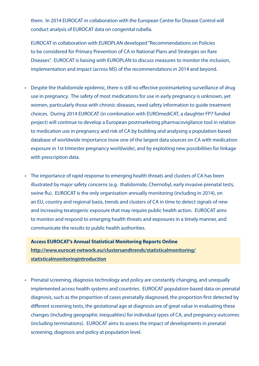them. In 2014 EUROCAT in collaboration with the European Centre for Disease Control will conduct analysis of EUROCAT data on congenital rubella.

EUROCAT in collaboration with EUROPLAN developed "Recommendations on Policies to be considered for Primary Prevention of CA in National Plans and Strategies on Rare Diseases". EUROCAT is liaising with EUROPLAN to discuss measures to monitor the inclusion, implementation and impact (across MS) of the recommendations in 2014 and beyond.

- Despite the thalidomide epidemic, there is still no effective postmarketing surveillance of drug use in pregnancy. The safety of most medications for use in early pregnancy is unknown, yet women, particularly those with chronic diseases, need safety information to guide treatment choices. During 2014 EUROCAT (in combination with EUROmediCAT, a daughter FP7 funded project) will continue to develop a European postmarketing pharmacovigilance tool in relation to medication use in pregnancy and risk of CA by building and analysing a population-based database of worldwide importance (now one of the largest data sources on CA with medication exposure in 1st trimester pregnancy worldwide), and by exploiting new possibilities for linkage with prescription data.
- The importance of rapid response to emerging health threats and clusters of CA has been illustrated by major safety concerns (e.g. thalidomide, Chernobyl, early invasive prenatal tests, swine flu). EUROCAT is the only organisation annually monitoring (including in 2014), on an EU, country and regional basis, trends and clusters of CA in time to detect signals of new and increasing teratogenic exposure that may require public health action. EUROCAT aims to monitor and respond to emerging health threats and exposures in a timely manner, and communicate the results to public health authorities.

**Access EUROCAT's Annual Statistical Monitoring Reports Online http://www.eurocat-network.eu/clustersandtrends/statisticalmonitoring/ statisticalmonitoringintroduction**

• Prenatal screening, diagnosis technology and policy are constantly changing, and unequally implemented across health systems and countries. EUROCAT population-based data on prenatal diagnosis, such as the proportion of cases prenatally diagnosed, the proportion first detected by different screening tests, the gestational age at diagnosis are of great value in evaluating these changes (including geographic inequalities) for individual types of CA, and pregnancy outcomes (including terminations). EUROCAT aims to assess the impact of developments in prenatal screening, diagnosis and policy at population level.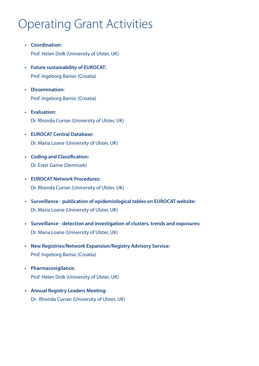## Operating Grant Activities

- **• Coordination:**  Prof. Helen Dolk (University of Ulster, UK)
- **• Future sustainability of EUROCAT:** Prof. Ingeborg Barisic (Croatia)
- **• Dissemination:** Prof. Ingeborg Barisic (Croatia)
- **• Evaluation:** Dr. Rhonda Curran (University of Ulster, UK)
- **• EUROCAT Central Database:** Dr. Maria Loane (University of Ulster, UK)
- **• Coding and Classification:** Dr. Ester Garne (Denmark)
- **• EUROCAT Network Procedures:** Dr. Rhonda Curran (University of Ulster, UK)
- **• Surveillance - publication of epidemiological tables on EUROCAT website:** Dr. Maria Loane (University of Ulster, UK)
- **• Surveillance - detection and investigation of clusters, trends and exposures:** Dr. Maria Loane (University of Ulster, UK)
- **• New Registries/Network Expansion/Registry Advisory Service:** Prof. Ingeborg Barisic (Croatia)
- **• Pharmacovigilance:** Prof. Helen Dolk (University of Ulster, UK)
- **• Annual Registry Leaders Meeting:** Dr. Rhonda Curran (University of Ulster, UK)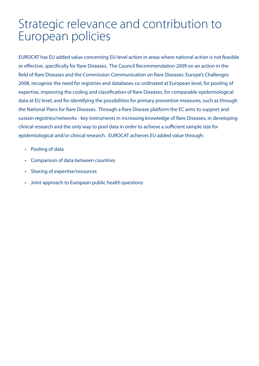## Strategic relevance and contribution to European policies

EUROCAT has EU added value concerning EU-level action in areas where national action is not feasible or effective, specifically for Rare Diseases. The Council Recommendation 2009 on an action in the field of Rare Diseases and the Commission Communication on Rare Diseases: Europe's Challenges 2008, recognise the need for registries and databases co-ordinated at European level, for pooling of expertise, improving the coding and classification of Rare Diseases, for comparable epidemiological data at EU level, and for identifying the possibilities for primary preventive measures, such as through the National Plans for Rare Diseases. Through a Rare Disease platform the EC aims to support and sustain registries/networks - key instruments in increasing knowledge of Rare Diseases, in developing clinical research and the only way to pool data in order to achieve a sufficient sample size for epidemiological and/or clinical research. EUROCAT achieves EU added value through:

- Pooling of data
- Comparison of data between countries
- Sharing of expertise/resources
- Joint approach to European public health questions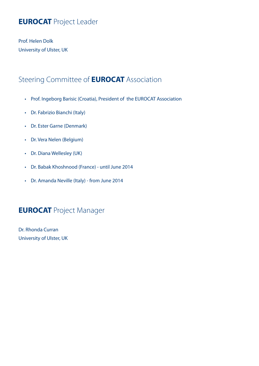## **EUROCAT** Project Leader

Prof. Helen Dolk University of Ulster, UK

### Steering Committee of **EUROCAT** Association

- Prof. Ingeborg Barisic (Croatia), President of the EUROCAT Association
- • Dr. Fabrizio Bianchi (Italy)
- • Dr. Ester Garne (Denmark)
- • Dr. Vera Nelen (Belgium)
- • Dr. Diana Wellesley (UK)
- • Dr. Babak Khoshnood (France) until June 2014
- • Dr. Amanda Neville (Italy) from June 2014

### **EUROCAT** Project Manager

Dr. Rhonda Curran University of Ulster, UK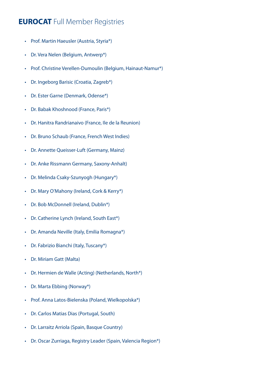## **EUROCAT** Full Member Registries

- • Prof. Martin Haeusler (Austria, Styria\*)
- • Dr. Vera Nelen (Belgium, Antwerp\*)
- Prof. Christine Verellen-Dumoulin (Belgium, Hainaut-Namur\*)
- Dr. Ingeborg Barisic (Croatia, Zagreb\*)
- Dr. Ester Garne (Denmark, Odense\*)
- • Dr. Babak Khoshnood (France, Paris\*)
- Dr. Hanitra Randrianaivo (France, Ile de la Reunion)
- • Dr. Bruno Schaub (France, French West Indies)
- • Dr. Annette Queisser-Luft (Germany, Mainz)
- • Dr. Anke Rissmann Germany, Saxony-Anhalt)
- • Dr. Melinda Csaky-Szunyogh (Hungary\*)
- Dr. Mary O'Mahony (Ireland, Cork & Kerry\*)
- • Dr. Bob McDonnell (Ireland, Dublin\*)
- Dr. Catherine Lynch (Ireland, South East\*)
- • Dr. Amanda Neville (Italy, Emilia Romagna\*)
- • Dr. Fabrizio Bianchi (Italy, Tuscany\*)
- • Dr. Miriam Gatt (Malta)
- Dr. Hermien de Walle (Acting) (Netherlands, North\*)
- Dr. Marta Ebbing (Norway\*)
- • Prof. Anna Latos-Bielenska (Poland, Wielkopolska\*)
- • Dr. Carlos Matias Dias (Portugal, South)
- • Dr. Larraitz Arriola (Spain, Basque Country)
- Dr. Oscar Zurriaga, Registry Leader (Spain, Valencia Region\*)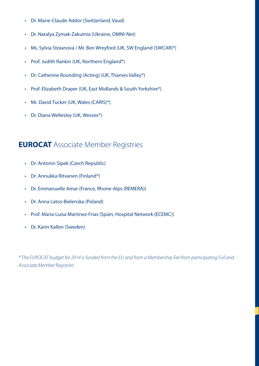- • Dr. Marie-Claude Addor (Switzerland, Vaud)
- • Dr. Natalya Zymak-Zakutnia (Ukraine, OMNI-Net)
- Ms. Sylvia Stoianova / Mr. Ben Wreyford (UK, SW England (SWCAR)\*)
- • Prof. Judith Rankin (UK, Northern England\*)
- Dr. Catherine Rounding (Acting) (UK, Thames Valley\*)
- Prof. Elizabeth Draper (UK, East Midlands & South Yorkshire\*)
- Mr. David Tucker (UK, Wales (CARIS)\*)
- Dr. Diana Wellesley (UK, Wessex\*)

### **EUROCAT** Associate Member Registries

- • Dr. Antonin Sipek (Czech Republic)
- • Dr. Annukka Ritvanen (Finland\*)
- • Dr. Emmanuelle Amar (France, Rhone-Alps (REMERA))
- • Dr. Anna Latos-Bielenska (Poland)
- Prof. Maria-Luisa Martinez-Frias (Spain, Hospital Network (ECEMC))
- • Dr. Karin Kallen (Sweden)

*\* The EUROCAT budget for 2014 is funded from the EU and from a Membership Fee from participating Full and Associate Member Registries*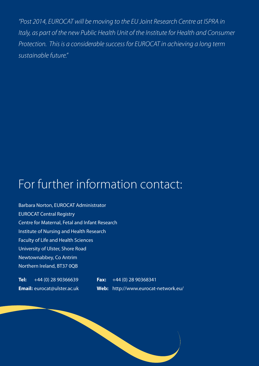*"Post 2014, EUROCAT will be moving to the EU Joint Research Centre at ISPRA in Italy, as part of the new Public Health Unit of the Institute for Health and Consumer Protection. This is a considerable success for EUROCAT in achieving a long term sustainable future."*

## For further information contact:

Barbara Norton, EUROCAT Administrator EUROCAT Central Registry Centre for Maternal, Fetal and Infant Research Institute of Nursing and Health Research Faculty of Life and Health Sciences University of Ulster, Shore Road Newtownabbey, Co Antrim Northern Ireland, BT37 0QB

**Tel:** +44 (0) 28 90366639 **Fax:** +44 (0) 28 90368341 **Email:** eurocat@ulster.ac.uk **Web:** http://www.eurocat-network.eu/